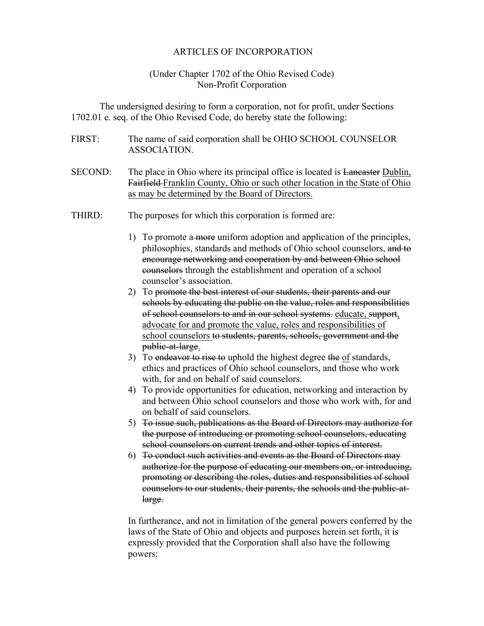## ARTICLES OF INCORPORATION

## (Under Chapter 1702 of the Ohio Revised Code) Non-Profit Corporation

The undersigned desiring to form a corporation, not for profit, under Sections 1702.01 e. seq. of the Ohio Revised Code, do hereby state the following:

- FIRST: The name of said corporation shall be OHIO SCHOOL COUNSELOR ASSOCIATION.
- SECOND: The place in Ohio where its principal office is located is Laneaster Dublin, Fairfield Franklin County, Ohio or such other location in the State of Ohio as may be determined by the Board of Directors.
- THIRD: The purposes for which this corporation is formed are:
	- 1) To promote a more uniform adoption and application of the principles, philosophies, standards and methods of Ohio school counselors, and to encourage networking and cooperation by and between Ohio school counselors through the establishment and operation of a school counselor's association.
	- 2) To promote the best interest of our students, their parents and our schools by educating the public on the value, roles and responsibilities of school counselors to and in our school systems. educate, support, advocate for and promote the value, roles and responsibilities of school counselors to students, parents, schools, government and the public-at-large.
	- 3) To endeavor to rise to uphold the highest degree the of standards, ethics and practices of Ohio school counselors, and those who work with, for and on behalf of said counselors.
	- 4) To provide opportunities for education, networking and interaction by and between Ohio school counselors and those who work with, for and on behalf of said counselors.
	- 5) To issue such, publications as the Board of Directors may authorize for the purpose of introducing or promoting school counselors, educating school counselors on current trends and other topics of interest.
	- 6) To conduct such activities and events as the Board of Directors may authorize for the purpose of educating our members on, or introducing, promoting or describing the roles, duties and responsibilities of school counselors to our students, their parents, the schools and the public-atlarge.

In furtherance, and not in limitation of the general powers conferred by the laws of the State of Ohio and objects and purposes herein set forth, it is expressly provided that the Corporation shall also have the following powers: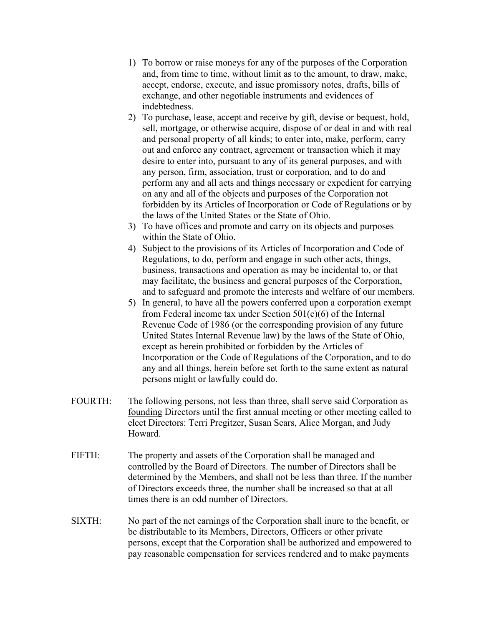- 1) To borrow or raise moneys for any of the purposes of the Corporation and, from time to time, without limit as to the amount, to draw, make, accept, endorse, execute, and issue promissory notes, drafts, bills of exchange, and other negotiable instruments and evidences of indebtedness.
- 2) To purchase, lease, accept and receive by gift, devise or bequest, hold, sell, mortgage, or otherwise acquire, dispose of or deal in and with real and personal property of all kinds; to enter into, make, perform, carry out and enforce any contract, agreement or transaction which it may desire to enter into, pursuant to any of its general purposes, and with any person, firm, association, trust or corporation, and to do and perform any and all acts and things necessary or expedient for carrying on any and all of the objects and purposes of the Corporation not forbidden by its Articles of Incorporation or Code of Regulations or by the laws of the United States or the State of Ohio.
- 3) To have offices and promote and carry on its objects and purposes within the State of Ohio.
- 4) Subject to the provisions of its Articles of Incorporation and Code of Regulations, to do, perform and engage in such other acts, things, business, transactions and operation as may be incidental to, or that may facilitate, the business and general purposes of the Corporation, and to safeguard and promote the interests and welfare of our members.
- 5) In general, to have all the powers conferred upon a corporation exempt from Federal income tax under Section 501(c)(6) of the Internal Revenue Code of 1986 (or the corresponding provision of any future United States Internal Revenue law) by the laws of the State of Ohio, except as herein prohibited or forbidden by the Articles of Incorporation or the Code of Regulations of the Corporation, and to do any and all things, herein before set forth to the same extent as natural persons might or lawfully could do.
- FOURTH: The following persons, not less than three, shall serve said Corporation as founding Directors until the first annual meeting or other meeting called to elect Directors: Terri Pregitzer, Susan Sears, Alice Morgan, and Judy Howard.
- FIFTH: The property and assets of the Corporation shall be managed and controlled by the Board of Directors. The number of Directors shall be determined by the Members, and shall not be less than three. If the number of Directors exceeds three, the number shall be increased so that at all times there is an odd number of Directors.
- SIXTH: No part of the net earnings of the Corporation shall inure to the benefit, or be distributable to its Members, Directors, Officers or other private persons, except that the Corporation shall be authorized and empowered to pay reasonable compensation for services rendered and to make payments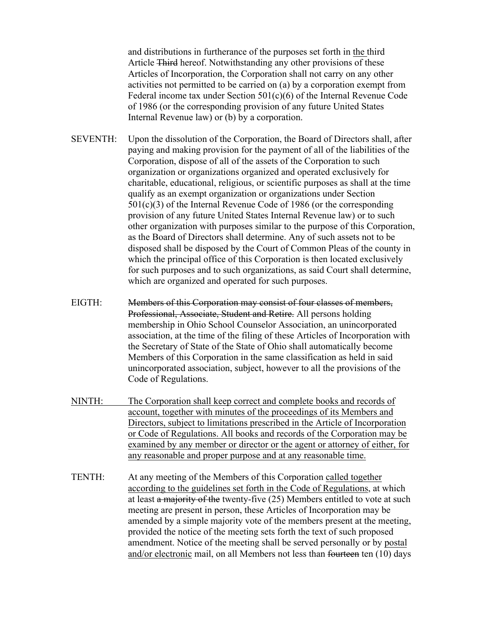and distributions in furtherance of the purposes set forth in the third Article Third hereof. Notwithstanding any other provisions of these Articles of Incorporation, the Corporation shall not carry on any other activities not permitted to be carried on (a) by a corporation exempt from Federal income tax under Section 501(c)(6) of the Internal Revenue Code of 1986 (or the corresponding provision of any future United States Internal Revenue law) or (b) by a corporation.

- SEVENTH: Upon the dissolution of the Corporation, the Board of Directors shall, after paying and making provision for the payment of all of the liabilities of the Corporation, dispose of all of the assets of the Corporation to such organization or organizations organized and operated exclusively for charitable, educational, religious, or scientific purposes as shall at the time qualify as an exempt organization or organizations under Section 501(c)(3) of the Internal Revenue Code of 1986 (or the corresponding provision of any future United States Internal Revenue law) or to such other organization with purposes similar to the purpose of this Corporation, as the Board of Directors shall determine. Any of such assets not to be disposed shall be disposed by the Court of Common Pleas of the county in which the principal office of this Corporation is then located exclusively for such purposes and to such organizations, as said Court shall determine, which are organized and operated for such purposes.
- EIGTH: Members of this Corporation may consist of four classes of members, Professional, Associate, Student and Retire. All persons holding membership in Ohio School Counselor Association, an unincorporated association, at the time of the filing of these Articles of Incorporation with the Secretary of State of the State of Ohio shall automatically become Members of this Corporation in the same classification as held in said unincorporated association, subject, however to all the provisions of the Code of Regulations.
- NINTH: The Corporation shall keep correct and complete books and records of account, together with minutes of the proceedings of its Members and Directors, subject to limitations prescribed in the Article of Incorporation or Code of Regulations. All books and records of the Corporation may be examined by any member or director or the agent or attorney of either, for any reasonable and proper purpose and at any reasonable time.
- TENTH: At any meeting of the Members of this Corporation called together according to the guidelines set forth in the Code of Regulations, at which at least a majority of the twenty-five (25) Members entitled to vote at such meeting are present in person, these Articles of Incorporation may be amended by a simple majority vote of the members present at the meeting, provided the notice of the meeting sets forth the text of such proposed amendment. Notice of the meeting shall be served personally or by postal and/or electronic mail, on all Members not less than fourteen ten (10) days